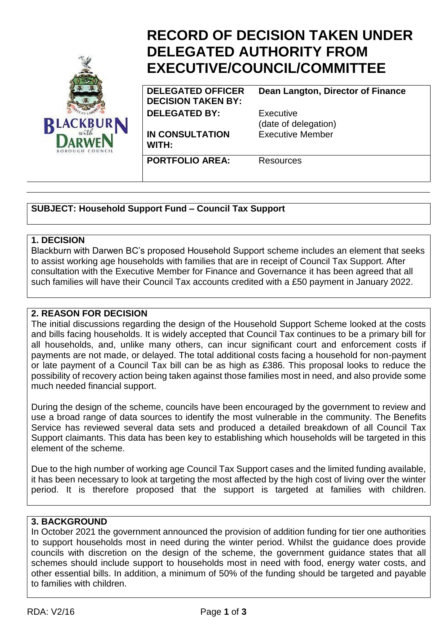

# **RECORD OF DECISION TAKEN UNDER DELEGATED AUTHORITY FROM EXECUTIVE/COUNCIL/COMMITTEE**

**DELEGATED OFFICER DECISION TAKEN BY: DELEGATED BY:** Executive

**IN CONSULTATION WITH:**

(date of delegation) Executive Member

**Dean Langton, Director of Finance**

**PORTFOLIO AREA:** Resources

**SUBJECT: Household Support Fund – Council Tax Support**

#### **1. DECISION**

Blackburn with Darwen BC's proposed Household Support scheme includes an element that seeks to assist working age households with families that are in receipt of Council Tax Support. After consultation with the Executive Member for Finance and Governance it has been agreed that all such families will have their Council Tax accounts credited with a £50 payment in January 2022.

## **2. REASON FOR DECISION**

The initial discussions regarding the design of the Household Support Scheme looked at the costs and bills facing households. It is widely accepted that Council Tax continues to be a primary bill for all households, and, unlike many others, can incur significant court and enforcement costs if payments are not made, or delayed. The total additional costs facing a household for non-payment or late payment of a Council Tax bill can be as high as £386. This proposal looks to reduce the possibility of recovery action being taken against those families most in need, and also provide some much needed financial support.

During the design of the scheme, councils have been encouraged by the government to review and use a broad range of data sources to identify the most vulnerable in the community. The Benefits Service has reviewed several data sets and produced a detailed breakdown of all Council Tax Support claimants. This data has been key to establishing which households will be targeted in this element of the scheme.

Due to the high number of working age Council Tax Support cases and the limited funding available, it has been necessary to look at targeting the most affected by the high cost of living over the winter period. It is therefore proposed that the support is targeted at families with children.

# **3. BACKGROUND**

In October 2021 the government announced the provision of addition funding for tier one authorities to support households most in need during the winter period. Whilst the guidance does provide councils with discretion on the design of the scheme, the government guidance states that all schemes should include support to households most in need with food, energy water costs, and other essential bills. In addition, a minimum of 50% of the funding should be targeted and payable to families with children.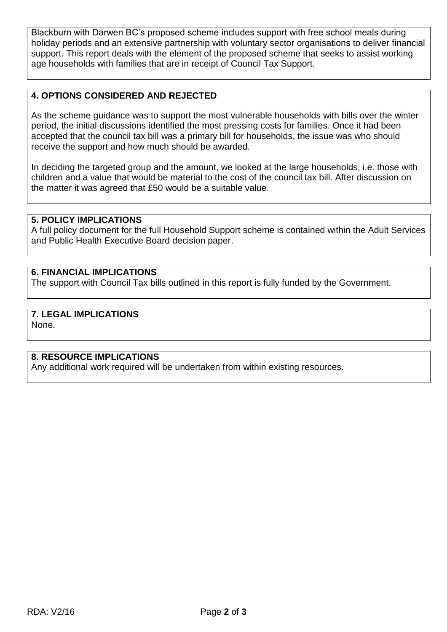Blackburn with Darwen BC's proposed scheme includes support with free school meals during holiday periods and an extensive partnership with voluntary sector organisations to deliver financial support. This report deals with the element of the proposed scheme that seeks to assist working age households with families that are in receipt of Council Tax Support.

# **4. OPTIONS CONSIDERED AND REJECTED**

As the scheme guidance was to support the most vulnerable households with bills over the winter period, the initial discussions identified the most pressing costs for families. Once it had been accepted that the council tax bill was a primary bill for households, the issue was who should receive the support and how much should be awarded.

In deciding the targeted group and the amount, we looked at the large households, i.e. those with children and a value that would be material to the cost of the council tax bill. After discussion on the matter it was agreed that £50 would be a suitable value.

### **5. POLICY IMPLICATIONS**

A full policy document for the full Household Support scheme is contained within the Adult Services and Public Health Executive Board decision paper.

# **6. FINANCIAL IMPLICATIONS**

The support with Council Tax bills outlined in this report is fully funded by the Government.

# **7. LEGAL IMPLICATIONS**

None.

#### **8. RESOURCE IMPLICATIONS**

Any additional work required will be undertaken from within existing resources.